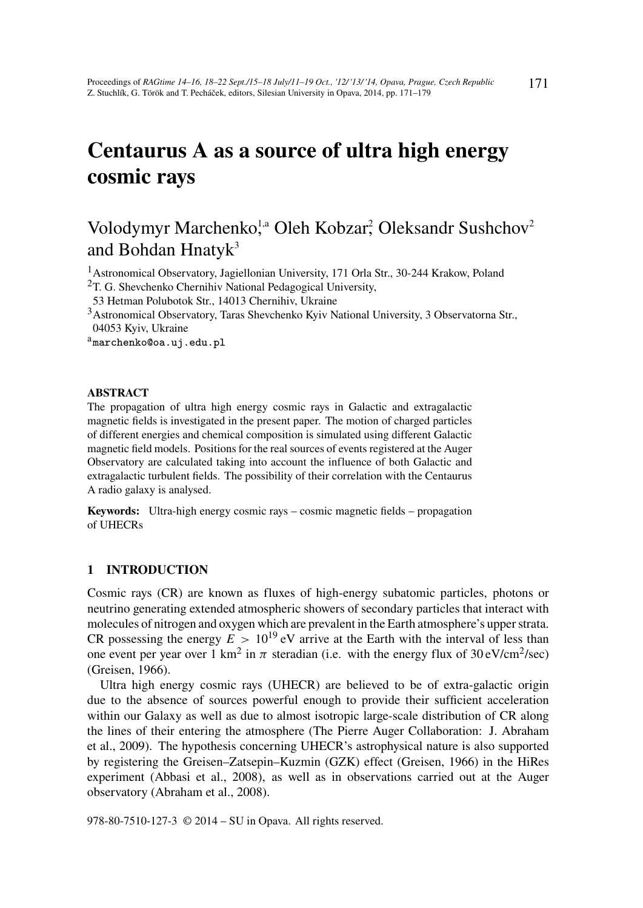# Centaurus A as a source of ultra high energy cosmic rays

# Volodymyr Marchenko,<sup>1,a</sup> Oleh Kobzar,<sup>2</sup> Oleksandr Sushchov<sup>2</sup> and Bohdan Hnaty $k^3$

<sup>1</sup>Astronomical Observatory, Jagiellonian University, 171 Orla Str., 30-244 Krakow, Poland

- $2$ T. G. Shevchenko Chernihiv National Pedagogical University,
- 53 Hetman Polubotok Str., 14013 Chernihiv, Ukraine
- <sup>3</sup>Astronomical Observatory, Taras Shevchenko Kyiv National University, 3 Observatorna Str., 04053 Kyiv, Ukraine

amarchenko@oa.uj.edu.pl

#### ABSTRACT

The propagation of ultra high energy cosmic rays in Galactic and extragalactic magnetic fields is investigated in the present paper. The motion of charged particles of different energies and chemical composition is simulated using different Galactic magnetic field models. Positions for the real sources of events registered at the Auger Observatory are calculated taking into account the influence of both Galactic and extragalactic turbulent fields. The possibility of their correlation with the Centaurus A radio galaxy is analysed.

Keywords: Ultra-high energy cosmic rays – cosmic magnetic fields – propagation of UHECRs

# 1 INTRODUCTION

Cosmic rays (CR) are known as fluxes of high-energy subatomic particles, photons or neutrino generating extended atmospheric showers of secondary particles that interact with molecules of nitrogen and oxygen which are prevalent in the Earth atmosphere's upper strata. CR possessing the energy  $E > 10^{19}$  eV arrive at the Earth with the interval of less than one event per year over 1 km<sup>2</sup> in  $\pi$  steradian (i.e. with the energy flux of 30 eV/cm<sup>2</sup>/sec) (Greisen, 1966).

Ultra high energy cosmic rays (UHECR) are believed to be of extra-galactic origin due to the absence of sources powerful enough to provide their sufficient acceleration within our Galaxy as well as due to almost isotropic large-scale distribution of CR along the lines of their entering the atmosphere (The Pierre Auger Collaboration: J. Abraham et al., 2009). The hypothesis concerning UHECR's astrophysical nature is also supported by registering the Greisen–Zatsepin–Kuzmin (GZK) effect (Greisen, 1966) in the HiRes experiment (Abbasi et al., 2008), as well as in observations carried out at the Auger observatory (Abraham et al., 2008).

978-80-7510-127-3 © 2014 – SU in Opava. All rights reserved.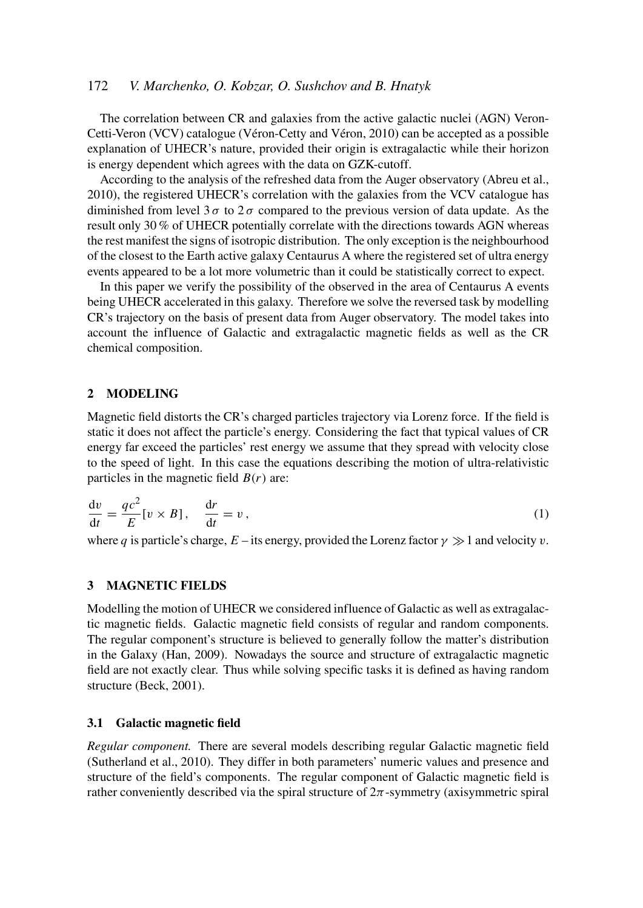# 172 *V. Marchenko, O. Kobzar, O. Sushchov and B. Hnatyk*

The correlation between CR and galaxies from the active galactic nuclei (AGN) Veron-Cetti-Veron (VCV) catalogue (Véron-Cetty and Véron, 2010) can be accepted as a possible explanation of UHECR's nature, provided their origin is extragalactic while their horizon is energy dependent which agrees with the data on GZK-cutoff.

According to the analysis of the refreshed data from the Auger observatory (Abreu et al., 2010), the registered UHECR's correlation with the galaxies from the VCV catalogue has diminished from level  $3\sigma$  to  $2\sigma$  compared to the previous version of data update. As the result only 30 % of UHECR potentially correlate with the directions towards AGN whereas the rest manifest the signs of isotropic distribution. The only exception is the neighbourhood of the closest to the Earth active galaxy Centaurus A where the registered set of ultra energy events appeared to be a lot more volumetric than it could be statistically correct to expect.

In this paper we verify the possibility of the observed in the area of Centaurus A events being UHECR accelerated in this galaxy. Therefore we solve the reversed task by modelling CR's trajectory on the basis of present data from Auger observatory. The model takes into account the influence of Galactic and extragalactic magnetic fields as well as the CR chemical composition.

# 2 MODELING

Magnetic field distorts the CR's charged particles trajectory via Lorenz force. If the field is static it does not affect the particle's energy. Considering the fact that typical values of CR energy far exceed the particles' rest energy we assume that they spread with velocity close to the speed of light. In this case the equations describing the motion of ultra-relativistic particles in the magnetic field  $B(r)$  are:

$$
\frac{\mathrm{d}v}{\mathrm{d}t} = \frac{qc^2}{E}[v \times B], \quad \frac{\mathrm{d}r}{\mathrm{d}t} = v,\tag{1}
$$

where *q* is particle's charge, *E* – its energy, provided the Lorenz factor  $\gamma \gg 1$  and velocity v.

# 3 MAGNETIC FIELDS

Modelling the motion of UHECR we considered influence of Galactic as well as extragalactic magnetic fields. Galactic magnetic field consists of regular and random components. The regular component's structure is believed to generally follow the matter's distribution in the Galaxy (Han, 2009). Nowadays the source and structure of extragalactic magnetic field are not exactly clear. Thus while solving specific tasks it is defined as having random structure (Beck, 2001).

# 3.1 Galactic magnetic field

*Regular component.* There are several models describing regular Galactic magnetic field (Sutherland et al., 2010). They differ in both parameters' numeric values and presence and structure of the field's components. The regular component of Galactic magnetic field is rather conveniently described via the spiral structure of  $2\pi$ -symmetry (axisymmetric spiral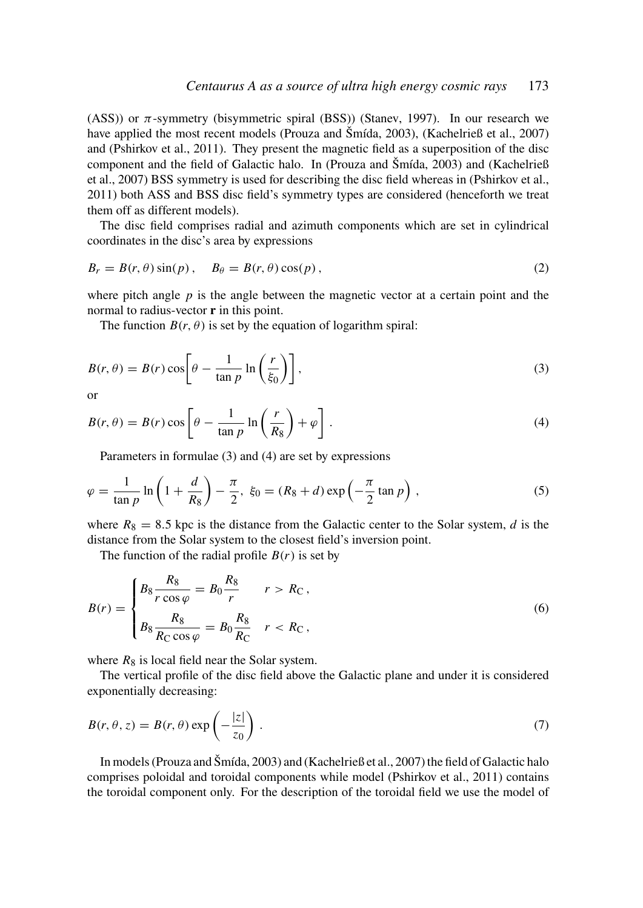(ASS)) or  $\pi$ -symmetry (bisymmetric spiral (BSS)) (Stanev, 1997). In our research we have applied the most recent models (Prouza and Šmída, 2003), (Kachelrieß et al., 2007) and (Pshirkov et al., 2011). They present the magnetic field as a superposition of the disc component and the field of Galactic halo. In (Prouza and Šmída, 2003) and (Kachelrieß et al., 2007) BSS symmetry is used for describing the disc field whereas in (Pshirkov et al., 2011) both ASS and BSS disc field's symmetry types are considered (henceforth we treat them off as different models).

The disc field comprises radial and azimuth components which are set in cylindrical coordinates in the disc's area by expressions

$$
B_r = B(r, \theta) \sin(p), \quad B_\theta = B(r, \theta) \cos(p), \tag{2}
$$

where pitch angle  $p$  is the angle between the magnetic vector at a certain point and the normal to radius-vector **r** in this point.

The function  $B(r, \theta)$  is set by the equation of logarithm spiral:

$$
B(r,\theta) = B(r)\cos\left[\theta - \frac{1}{\tan p}\ln\left(\frac{r}{\xi_0}\right)\right],\tag{3}
$$

or

$$
B(r, \theta) = B(r) \cos \left[\theta - \frac{1}{\tan p} \ln \left(\frac{r}{R_8}\right) + \varphi\right].
$$
 (4)

Parameters in formulae (3) and (4) are set by expressions

$$
\varphi = \frac{1}{\tan p} \ln \left( 1 + \frac{d}{R_8} \right) - \frac{\pi}{2}, \xi_0 = (R_8 + d) \exp \left( -\frac{\pi}{2} \tan p \right),\tag{5}
$$

where  $R_8 = 8.5$  kpc is the distance from the Galactic center to the Solar system, *d* is the distance from the Solar system to the closest field's inversion point.

The function of the radial profile  $B(r)$  is set by

$$
B(r) = \begin{cases} B_8 \frac{R_8}{r \cos \varphi} = B_0 \frac{R_8}{r} & r > R_{\rm C}, \\ B_8 \frac{R_8}{R_{\rm C} \cos \varphi} = B_0 \frac{R_8}{R_{\rm C}} & r < R_{\rm C}, \end{cases}
$$
(6)

where  $R_8$  is local field near the Solar system.

The vertical profile of the disc field above the Galactic plane and under it is considered exponentially decreasing:

$$
B(r, \theta, z) = B(r, \theta) \exp\left(-\frac{|z|}{z_0}\right). \tag{7}
$$

In models (Prouza and Šmída, 2003) and (Kachelrieß et al., 2007) the field of Galactic halo comprises poloidal and toroidal components while model (Pshirkov et al., 2011) contains the toroidal component only. For the description of the toroidal field we use the model of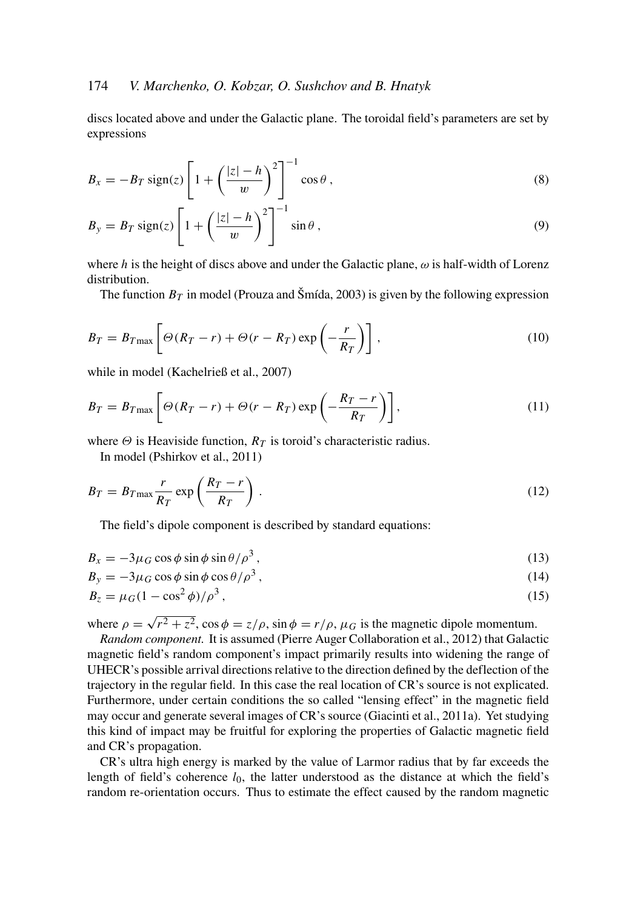# 174 *V. Marchenko, O. Kobzar, O. Sushchov and B. Hnatyk*

discs located above and under the Galactic plane. The toroidal field's parameters are set by expressions

$$
B_x = -B_T \operatorname{sign}(z) \left[ 1 + \left( \frac{|z| - h}{w} \right)^2 \right]^{-1} \cos \theta , \qquad (8)
$$

$$
B_y = B_T \operatorname{sign}(z) \left[ 1 + \left( \frac{|z| - h}{w} \right)^2 \right]^{-1} \sin \theta , \qquad (9)
$$

where *h* is the height of discs above and under the Galactic plane,  $\omega$  is half-width of Lorenz distribution.

The function  $B_T$  in model (Prouza and Šmída, 2003) is given by the following expression

$$
B_T = B_{T_{\text{max}}} \left[ \Theta(R_T - r) + \Theta(r - R_T) \exp\left(-\frac{r}{R_T}\right) \right],\tag{10}
$$

while in model (Kachelrieß et al., 2007)

$$
B_T = B_{T\max}\left[\Theta(R_T - r) + \Theta(r - R_T)\exp\left(-\frac{R_T - r}{R_T}\right)\right],\tag{11}
$$

where  $\Theta$  is Heaviside function,  $R_T$  is toroid's characteristic radius.

In model (Pshirkov et al., 2011)

$$
B_T = B_{T\max} \frac{r}{R_T} \exp\left(\frac{R_T - r}{R_T}\right). \tag{12}
$$

The field's dipole component is described by standard equations:

$$
B_x = -3\mu_G \cos\phi \sin\phi \sin\theta / \rho^3, \qquad (13)
$$

$$
B_y = -3\mu_G \cos\phi \sin\phi \cos\theta / \rho^3, \qquad (14)
$$

$$
B_z = \mu_G (1 - \cos^2 \phi) / \rho^3, \qquad (15)
$$

where  $\rho =$ √  $\sqrt{r^2 + z^2}$ ,  $\cos \phi = z/\rho$ ,  $\sin \phi = r/\rho$ ,  $\mu_G$  is the magnetic dipole momentum.

*Random component.* It is assumed (Pierre Auger Collaboration et al., 2012) that Galactic magnetic field's random component's impact primarily results into widening the range of UHECR's possible arrival directions relative to the direction defined by the deflection of the trajectory in the regular field. In this case the real location of CR's source is not explicated. Furthermore, under certain conditions the so called "lensing effect" in the magnetic field may occur and generate several images of CR's source (Giacinti et al., 2011a). Yet studying this kind of impact may be fruitful for exploring the properties of Galactic magnetic field and CR's propagation.

CR's ultra high energy is marked by the value of Larmor radius that by far exceeds the length of field's coherence *l*0, the latter understood as the distance at which the field's random re-orientation occurs. Thus to estimate the effect caused by the random magnetic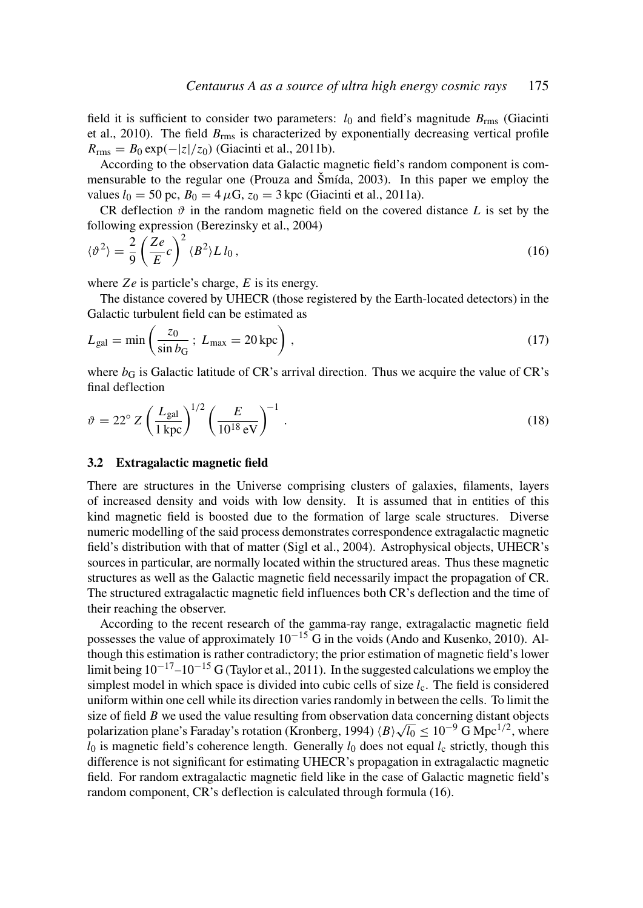field it is sufficient to consider two parameters:  $l_0$  and field's magnitude  $B_{\text{rms}}$  (Giacinti et al., 2010). The field *B*rms is characterized by exponentially decreasing vertical profile  $R_{\text{rms}} = B_0 \exp(-|z|/z_0)$  (Giacinti et al., 2011b).

According to the observation data Galactic magnetic field's random component is commensurable to the regular one (Prouza and Šmída, 2003). In this paper we employ the values  $l_0 = 50$  pc,  $B_0 = 4 \mu$ G,  $z_0 = 3$  kpc (Giacinti et al., 2011a).

CR deflection  $\vartheta$  in the random magnetic field on the covered distance *L* is set by the following expression (Berezinsky et al., 2004)

$$
\langle \vartheta^2 \rangle = \frac{2}{9} \left( \frac{Ze}{E} c \right)^2 \langle B^2 \rangle L l_0, \qquad (16)
$$

where *Ze* is particle's charge, *E* is its energy.

The distance covered by UHECR (those registered by the Earth-located detectors) in the Galactic turbulent field can be estimated as

$$
L_{\rm gal} = \min\left(\frac{z_0}{\sin b_G}; L_{\rm max} = 20 \,\text{kpc}\right),\tag{17}
$$

where  $b_G$  is Galactic latitude of CR's arrival direction. Thus we acquire the value of CR's final deflection

$$
\vartheta = 22^{\circ} Z \left( \frac{L_{\rm gal}}{1 \,\rm kpc} \right)^{1/2} \left( \frac{E}{10^{18} \,\rm eV} \right)^{-1} \,. \tag{18}
$$

#### 3.2 Extragalactic magnetic field

There are structures in the Universe comprising clusters of galaxies, filaments, layers of increased density and voids with low density. It is assumed that in entities of this kind magnetic field is boosted due to the formation of large scale structures. Diverse numeric modelling of the said process demonstrates correspondence extragalactic magnetic field's distribution with that of matter (Sigl et al., 2004). Astrophysical objects, UHECR's sources in particular, are normally located within the structured areas. Thus these magnetic structures as well as the Galactic magnetic field necessarily impact the propagation of CR. The structured extragalactic magnetic field influences both CR's deflection and the time of their reaching the observer.

According to the recent research of the gamma-ray range, extragalactic magnetic field possesses the value of approximately  $10^{-15}$  G in the voids (Ando and Kusenko, 2010). Although this estimation is rather contradictory; the prior estimation of magnetic field's lower limit being  $10^{-17}$ – $10^{-15}$  G (Taylor et al., 2011). In the suggested calculations we employ the simplest model in which space is divided into cubic cells of size *l<sub>c</sub>*. The field is considered uniform within one cell while its direction varies randomly in between the cells. To limit the size of field *B* we used the value resulting from observation data concerning distant objects polarization plane's Faraday's rotation (Kronberg, 1994)  $\langle B \rangle \sqrt{l_0} \leq 10^{-9}$  G Mpc<sup>1/2</sup>, where  $l_0$  is magnetic field's coherence length. Generally  $l_0$  does not equal  $l_c$  strictly, though this difference is not significant for estimating UHECR's propagation in extragalactic magnetic field. For random extragalactic magnetic field like in the case of Galactic magnetic field's random component, CR's deflection is calculated through formula (16).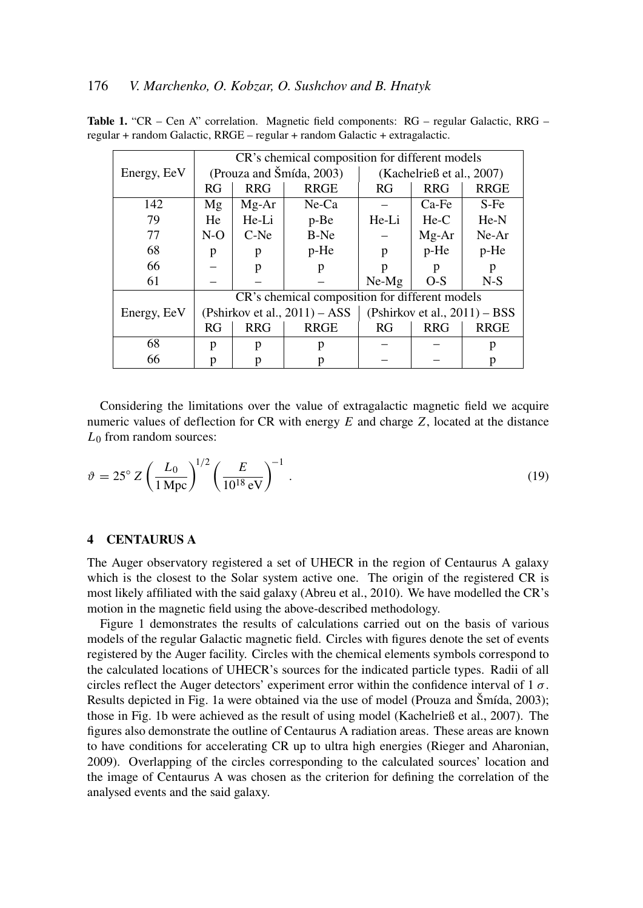|             | CR's chemical composition for different models |            |             |                                  |            |             |
|-------------|------------------------------------------------|------------|-------------|----------------------------------|------------|-------------|
| Energy, EeV | (Prouza and Šmída, 2003)                       |            |             | (Kachelrieß et al., $2007$ )     |            |             |
|             | RG                                             | <b>RRG</b> | <b>RRGE</b> | RG                               | <b>RRG</b> | <b>RRGE</b> |
| 142         | Mg                                             | Mg-Ar      | $Ne$ -Ca    |                                  | Ca-Fe      | $S-Fe$      |
| 79          | He                                             | He-Li      | p-Be        | He-Li                            | $He-C$     | $He-N$      |
| 77          | $N-O$                                          | $C-Ne$     | B-Ne        |                                  | Mg-Ar      | $Ne-Ar$     |
| 68          | p                                              | p          | p-He        | p                                | $p$ -He    | p-He        |
| 66          |                                                | p          | p           | p                                | p          | p           |
| 61          |                                                |            |             | $Ne-Mg$                          | $O-S$      | $N-S$       |
|             | CR's chemical composition for different models |            |             |                                  |            |             |
| Energy, EeV | (Pshirkov et al., $2011$ ) – ASS               |            |             | (Pshirkov et al., $2011$ ) – BSS |            |             |
|             | RG                                             | <b>RRG</b> | <b>RRGE</b> | RG                               | <b>RRG</b> | <b>RRGE</b> |
| 68          | p                                              | p          | р           |                                  |            | р           |
| 66          | p                                              |            |             |                                  |            |             |

Table 1. "CR – Cen A" correlation. Magnetic field components: RG – regular Galactic, RRG – regular + random Galactic, RRGE – regular + random Galactic + extragalactic.

Considering the limitations over the value of extragalactic magnetic field we acquire numeric values of deflection for CR with energy *E* and charge *Z*, located at the distance *L*<sup>0</sup> from random sources:

$$
\vartheta = 25^{\circ} Z \left( \frac{L_0}{1 \, \text{Mpc}} \right)^{1/2} \left( \frac{E}{10^{18} \, \text{eV}} \right)^{-1} . \tag{19}
$$

# 4 CENTAURUS A

The Auger observatory registered a set of UHECR in the region of Centaurus A galaxy which is the closest to the Solar system active one. The origin of the registered CR is most likely affiliated with the said galaxy (Abreu et al., 2010). We have modelled the CR's motion in the magnetic field using the above-described methodology.

Figure 1 demonstrates the results of calculations carried out on the basis of various models of the regular Galactic magnetic field. Circles with figures denote the set of events registered by the Auger facility. Circles with the chemical elements symbols correspond to the calculated locations of UHECR's sources for the indicated particle types. Radii of all circles reflect the Auger detectors' experiment error within the confidence interval of  $1\sigma$ . Results depicted in Fig. 1a were obtained via the use of model (Prouza and Šmída, 2003); those in Fig. 1b were achieved as the result of using model (Kachelrieß et al., 2007). The figures also demonstrate the outline of Centaurus A radiation areas. These areas are known to have conditions for accelerating CR up to ultra high energies (Rieger and Aharonian, 2009). Overlapping of the circles corresponding to the calculated sources' location and the image of Centaurus A was chosen as the criterion for defining the correlation of the analysed events and the said galaxy.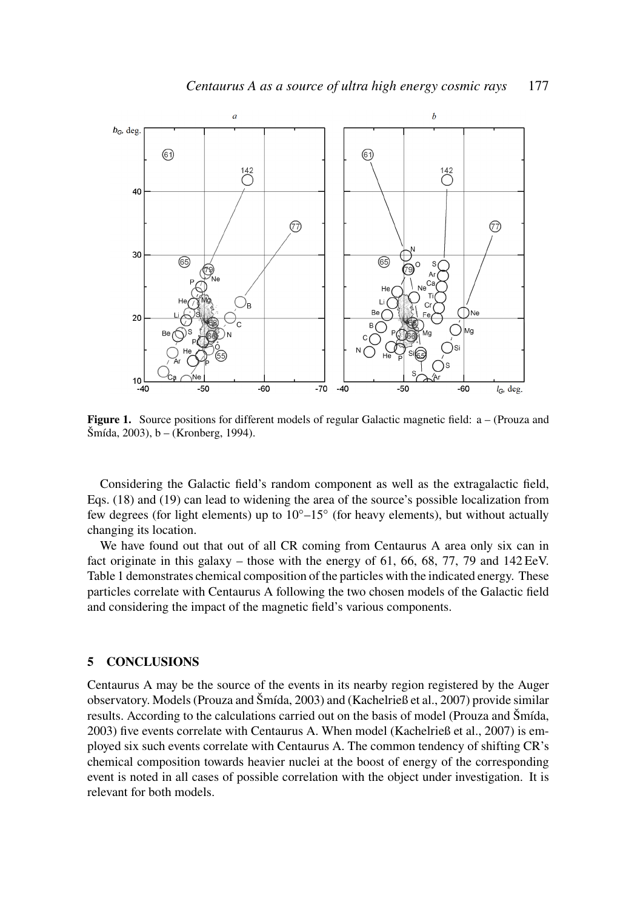

**Figure 1.** Source positions for different models of regular Galactic magnetic field:  $a - (Prouza and$ Šmída, 2003), b – (Kronberg, 1994).

Considering the Galactic field's random component as well as the extragalactic field, Eqs. (18) and (19) can lead to widening the area of the source's possible localization from few degrees (for light elements) up to 10◦–15◦ (for heavy elements), but without actually changing its location.

We have found out that out of all CR coming from Centaurus A area only six can in fact originate in this galaxy – those with the energy of 61, 66, 68, 77, 79 and 142 EeV. Table 1 demonstrates chemical composition of the particles with the indicated energy. These particles correlate with Centaurus A following the two chosen models of the Galactic field and considering the impact of the magnetic field's various components.

#### 5 CONCLUSIONS

Centaurus A may be the source of the events in its nearby region registered by the Auger observatory. Models (Prouza and Šmída, 2003) and (Kachelrieß et al., 2007) provide similar results. According to the calculations carried out on the basis of model (Prouza and Šmída, 2003) five events correlate with Centaurus A. When model (Kachelrieß et al., 2007) is employed six such events correlate with Centaurus A. The common tendency of shifting CR's chemical composition towards heavier nuclei at the boost of energy of the corresponding event is noted in all cases of possible correlation with the object under investigation. It is relevant for both models.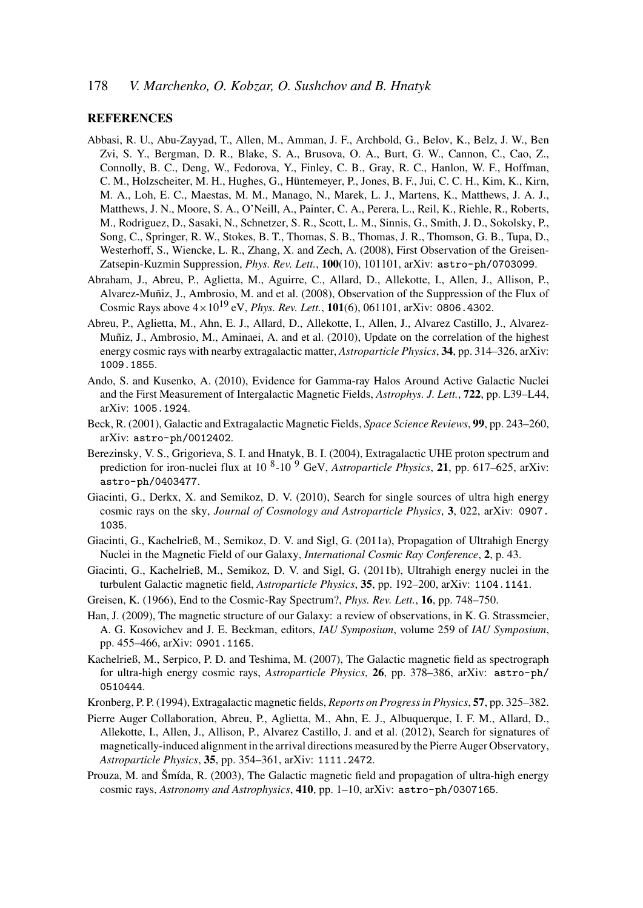# **REFERENCES**

- Abbasi, R. U., Abu-Zayyad, T., Allen, M., Amman, J. F., Archbold, G., Belov, K., Belz, J. W., Ben Zvi, S. Y., Bergman, D. R., Blake, S. A., Brusova, O. A., Burt, G. W., Cannon, C., Cao, Z., Connolly, B. C., Deng, W., Fedorova, Y., Finley, C. B., Gray, R. C., Hanlon, W. F., Hoffman, C. M., Holzscheiter, M. H., Hughes, G., Hüntemeyer, P., Jones, B. F., Jui, C. C. H., Kim, K., Kirn, M. A., Loh, E. C., Maestas, M. M., Manago, N., Marek, L. J., Martens, K., Matthews, J. A. J., Matthews, J. N., Moore, S. A., O'Neill, A., Painter, C. A., Perera, L., Reil, K., Riehle, R., Roberts, M., Rodriguez, D., Sasaki, N., Schnetzer, S. R., Scott, L. M., Sinnis, G., Smith, J. D., Sokolsky, P., Song, C., Springer, R. W., Stokes, B. T., Thomas, S. B., Thomas, J. R., Thomson, G. B., Tupa, D., Westerhoff, S., Wiencke, L. R., Zhang, X. and Zech, A. (2008), First Observation of the Greisen-Zatsepin-Kuzmin Suppression, *Phys. Rev. Lett.*, 100(10), 101101, arXiv: astro-ph/0703099.
- Abraham, J., Abreu, P., Aglietta, M., Aguirre, C., Allard, D., Allekotte, I., Allen, J., Allison, P., Alvarez-Muñiz, J., Ambrosio, M. and et al. (2008), Observation of the Suppression of the Flux of Cosmic Rays above 4×10<sup>19</sup> eV, *Phys. Rev. Lett.*, 101(6), 061101, arXiv: 0806.4302.
- Abreu, P., Aglietta, M., Ahn, E. J., Allard, D., Allekotte, I., Allen, J., Alvarez Castillo, J., Alvarez-Muñiz, J., Ambrosio, M., Aminaei, A. and et al. (2010), Update on the correlation of the highest energy cosmic rays with nearby extragalactic matter, *Astroparticle Physics*, 34, pp. 314–326, arXiv: 1009.1855.
- Ando, S. and Kusenko, A. (2010), Evidence for Gamma-ray Halos Around Active Galactic Nuclei and the First Measurement of Intergalactic Magnetic Fields, *Astrophys. J. Lett.*, 722, pp. L39–L44, arXiv: 1005.1924.
- Beck, R. (2001), Galactic and Extragalactic Magnetic Fields, *Space Science Reviews*, 99, pp. 243–260, arXiv: astro-ph/0012402.
- Berezinsky, V. S., Grigorieva, S. I. and Hnatyk, B. I. (2004), Extragalactic UHE proton spectrum and prediction for iron-nuclei flux at 10<sup>8</sup>-10<sup>9</sup> GeV, *Astroparticle Physics*, 21, pp. 617–625, arXiv: astro-ph/0403477.
- Giacinti, G., Derkx, X. and Semikoz, D. V. (2010), Search for single sources of ultra high energy cosmic rays on the sky, *Journal of Cosmology and Astroparticle Physics*, 3, 022, arXiv: 0907. 1035.
- Giacinti, G., Kachelrieß, M., Semikoz, D. V. and Sigl, G. (2011a), Propagation of Ultrahigh Energy Nuclei in the Magnetic Field of our Galaxy, *International Cosmic Ray Conference*, 2, p. 43.
- Giacinti, G., Kachelrieß, M., Semikoz, D. V. and Sigl, G. (2011b), Ultrahigh energy nuclei in the turbulent Galactic magnetic field, *Astroparticle Physics*, 35, pp. 192–200, arXiv: 1104.1141.
- Greisen, K. (1966), End to the Cosmic-Ray Spectrum?, *Phys. Rev. Lett.*, 16, pp. 748–750.
- Han, J. (2009), The magnetic structure of our Galaxy: a review of observations, in K. G. Strassmeier, A. G. Kosovichev and J. E. Beckman, editors, *IAU Symposium*, volume 259 of *IAU Symposium*, pp. 455–466, arXiv: 0901.1165.
- Kachelrieß, M., Serpico, P. D. and Teshima, M. (2007), The Galactic magnetic field as spectrograph for ultra-high energy cosmic rays, *Astroparticle Physics*, 26, pp. 378–386, arXiv: astro-ph/ 0510444.
- Kronberg, P. P. (1994), Extragalactic magnetic fields, *Reports on Progress in Physics*, 57, pp. 325–382.
- Pierre Auger Collaboration, Abreu, P., Aglietta, M., Ahn, E. J., Albuquerque, I. F. M., Allard, D., Allekotte, I., Allen, J., Allison, P., Alvarez Castillo, J. and et al. (2012), Search for signatures of magnetically-induced alignment in the arrival directions measured by the Pierre Auger Observatory, *Astroparticle Physics*, 35, pp. 354–361, arXiv: 1111.2472.
- Prouza, M. and Šmída, R. (2003), The Galactic magnetic field and propagation of ultra-high energy cosmic rays, *Astronomy and Astrophysics*, 410, pp. 1–10, arXiv: astro-ph/0307165.